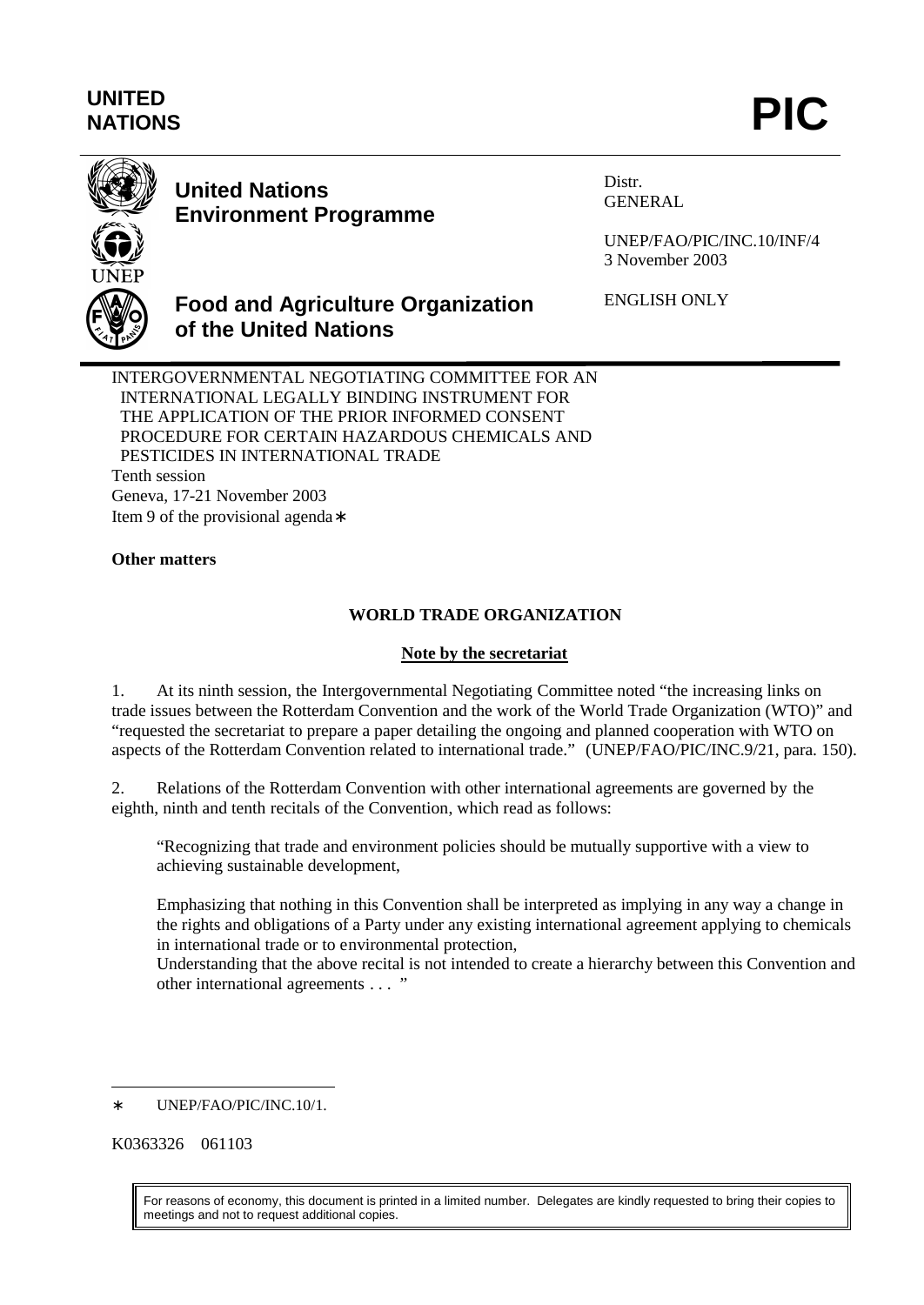# **UNITED** UNITED<br>NATIONS **PIC**



## **United Nations Environment Programme**

**of the United Nations**

Distr. GENERAL

UNEP/FAO/PIC/INC.10/INF/4 3 November 2003

ENGLISH ONLY

INTERGOVERNMENTAL NEGOTIATING COMMITTEE FOR AN INTERNATIONAL LEGALLY BINDING INSTRUMENT FOR THE APPLICATION OF THE PRIOR INFORMED CONSENT PROCEDURE FOR CERTAIN HAZARDOUS CHEMICALS AND PESTICIDES IN INTERNATIONAL TRADE Tenth session Geneva, 17-21 November 2003 Item 9 of the provisional agenda∗

**Food and Agriculture Organization**

#### **Other matters**

#### **WORLD TRADE ORGANIZATION**

#### **Note by the secretariat**

1. At its ninth session, the Intergovernmental Negotiating Committee noted "the increasing links on trade issues between the Rotterdam Convention and the work of the World Trade Organization (WTO)" and "requested the secretariat to prepare a paper detailing the ongoing and planned cooperation with WTO on aspects of the Rotterdam Convention related to international trade." (UNEP/FAO/PIC/INC.9/21, para. 150).

2. Relations of the Rotterdam Convention with other international agreements are governed by the eighth, ninth and tenth recitals of the Convention, which read as follows:

"Recognizing that trade and environment policies should be mutually supportive with a view to achieving sustainable development,

Emphasizing that nothing in this Convention shall be interpreted as implying in any way a change in the rights and obligations of a Party under any existing international agreement applying to chemicals in international trade or to environmental protection,

Understanding that the above recital is not intended to create a hierarchy between this Convention and other international agreements . . . "

K0363326 061103

 $\overline{a}$ 

For reasons of economy, this document is printed in a limited number. Delegates are kindly requested to bring their copies to meetings and not to request additional copies.

<sup>∗</sup> UNEP/FAO/PIC/INC.10/1.